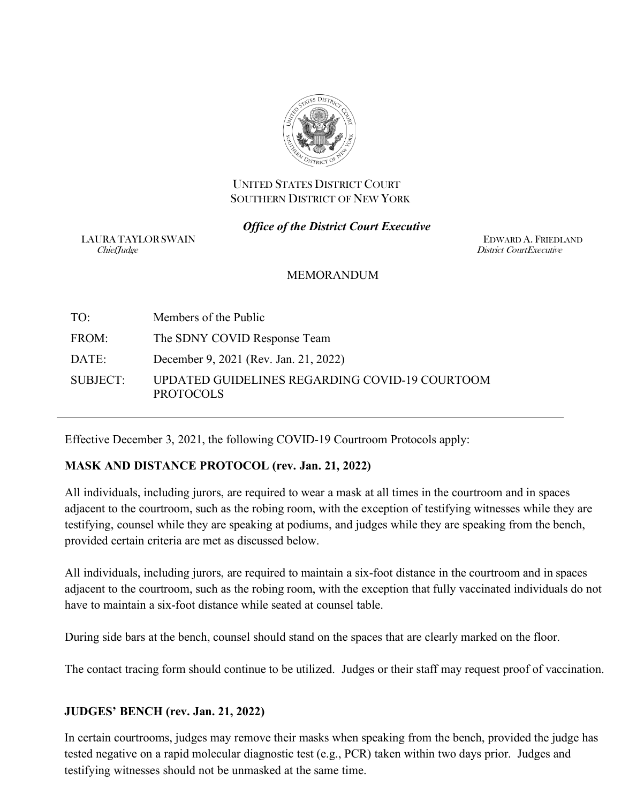

### UNITED STATES DISTRICT COURT SOUTHERN DISTRICT OF NEW YORK

### *Office of the District Court Executive*

LAURA TAYLOR SWAIN EDWARD A. FRIEDLAND<br>ChiefIndee District CourtExecutive

District CourtExecutive

### **MEMORANDUM**

TO: Members of the Public FROM: The SDNY COVID Response Team DATE: December 9, 2021 (Rev. Jan. 21, 2022) SUBJECT: UPDATED GUIDELINES REGARDING COVID-19 COURTOOM PROTOCOLS

Effective December 3, 2021, the following COVID-19 Courtroom Protocols apply:

# **MASK AND DISTANCE PROTOCOL (rev. Jan. 21, 2022)**

All individuals, including jurors, are required to wear a mask at all times in the courtroom and in spaces adjacent to the courtroom, such as the robing room, with the exception of testifying witnesses while they are testifying, counsel while they are speaking at podiums, and judges while they are speaking from the bench, provided certain criteria are met as discussed below.

All individuals, including jurors, are required to maintain a six-foot distance in the courtroom and in spaces adjacent to the courtroom, such as the robing room, with the exception that fully vaccinated individuals do not have to maintain a six-foot distance while seated at counsel table.

During side bars at the bench, counsel should stand on the spaces that are clearly marked on the floor.

The contact tracing form should continue to be utilized. Judges or their staff may request proof of vaccination.

### **JUDGES' BENCH (rev. Jan. 21, 2022)**

In certain courtrooms, judges may remove their masks when speaking from the bench, provided the judge has tested negative on a rapid molecular diagnostic test (e.g., PCR) taken within two days prior. Judges and testifying witnesses should not be unmasked at the same time.